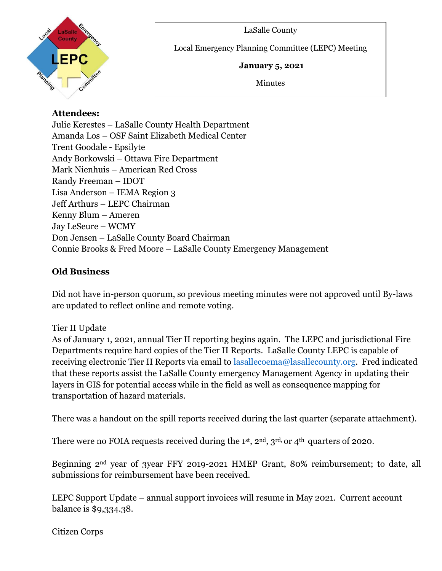



Local Emergency Planning Committee (LEPC) Meeting

#### **January 5, 2021**

Minutes

## **Attendees:**

Julie Kerestes – LaSalle County Health Department Amanda Los – OSF Saint Elizabeth Medical Center Trent Goodale - Epsilyte Andy Borkowski – Ottawa Fire Department Mark Nienhuis – American Red Cross Randy Freeman – IDOT Lisa Anderson – IEMA Region 3 Jeff Arthurs – LEPC Chairman Kenny Blum – Ameren Jay LeSeure – WCMY Don Jensen – LaSalle County Board Chairman Connie Brooks & Fred Moore – LaSalle County Emergency Management

 $\overline{a}$ 

### **Old Business**

Did not have in-person quorum, so previous meeting minutes were not approved until By-laws are updated to reflect online and remote voting.

# Tier II Update

As of January 1, 2021, annual Tier II reporting begins again. The LEPC and jurisdictional Fire Departments require hard copies of the Tier II Reports. LaSalle County LEPC is capable of receiving electronic Tier II Reports via email to [lasallecoema@lasallecounty.org.](mailto:lasallecoema@lasallecounty.org) Fred indicated that these reports assist the LaSalle County emergency Management Agency in updating their layers in GIS for potential access while in the field as well as consequence mapping for transportation of hazard materials.

There was a handout on the spill reports received during the last quarter (separate attachment).

There were no FOIA requests received during the 1<sup>st</sup>, 2<sup>nd</sup>, 3<sup>rd,</sup> or 4<sup>th</sup> quarters of 2020.

Beginning 2nd year of 3year FFY 2019-2021 HMEP Grant, 80% reimbursement; to date, all submissions for reimbursement have been received.

LEPC Support Update – annual support invoices will resume in May 2021. Current account balance is \$9,334.38.